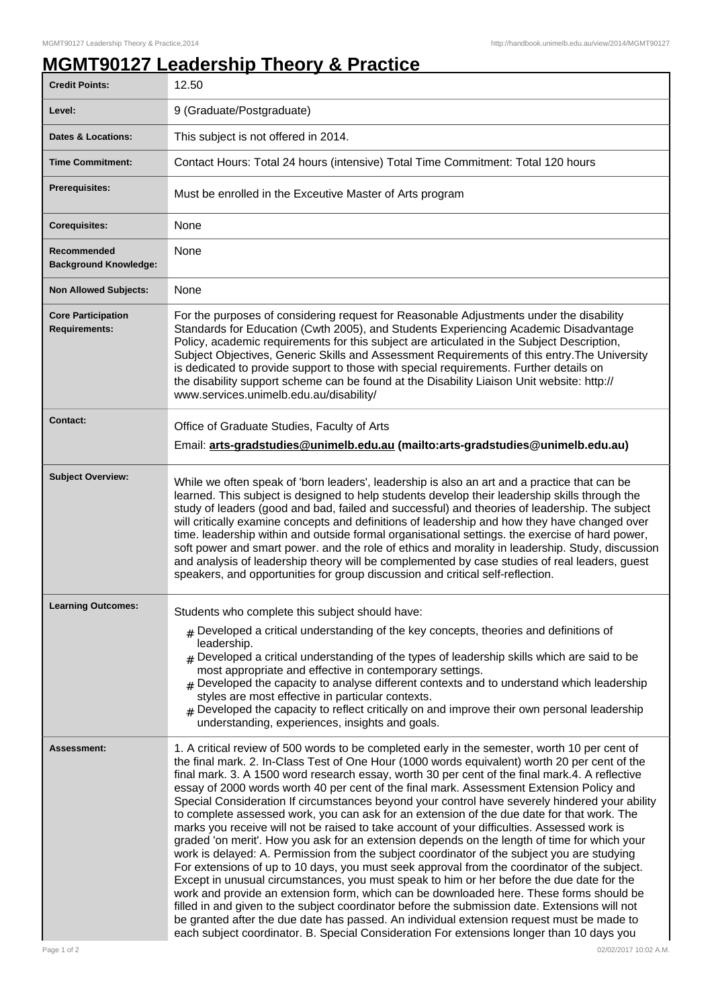## **MGMT90127 Leadership Theory & Practice**

| <b>Credit Points:</b>                             | 12.50                                                                                                                                                                                                                                                                                                                                                                                                                                                                                                                                                                                                                                                                                                                                                                                                                                                                                                                                                                                                                                                                                                                                                                                                                                                                                                                                                                                                                                                                           |
|---------------------------------------------------|---------------------------------------------------------------------------------------------------------------------------------------------------------------------------------------------------------------------------------------------------------------------------------------------------------------------------------------------------------------------------------------------------------------------------------------------------------------------------------------------------------------------------------------------------------------------------------------------------------------------------------------------------------------------------------------------------------------------------------------------------------------------------------------------------------------------------------------------------------------------------------------------------------------------------------------------------------------------------------------------------------------------------------------------------------------------------------------------------------------------------------------------------------------------------------------------------------------------------------------------------------------------------------------------------------------------------------------------------------------------------------------------------------------------------------------------------------------------------------|
| Level:                                            | 9 (Graduate/Postgraduate)                                                                                                                                                                                                                                                                                                                                                                                                                                                                                                                                                                                                                                                                                                                                                                                                                                                                                                                                                                                                                                                                                                                                                                                                                                                                                                                                                                                                                                                       |
| <b>Dates &amp; Locations:</b>                     | This subject is not offered in 2014.                                                                                                                                                                                                                                                                                                                                                                                                                                                                                                                                                                                                                                                                                                                                                                                                                                                                                                                                                                                                                                                                                                                                                                                                                                                                                                                                                                                                                                            |
| <b>Time Commitment:</b>                           | Contact Hours: Total 24 hours (intensive) Total Time Commitment: Total 120 hours                                                                                                                                                                                                                                                                                                                                                                                                                                                                                                                                                                                                                                                                                                                                                                                                                                                                                                                                                                                                                                                                                                                                                                                                                                                                                                                                                                                                |
| <b>Prerequisites:</b>                             | Must be enrolled in the Exceutive Master of Arts program                                                                                                                                                                                                                                                                                                                                                                                                                                                                                                                                                                                                                                                                                                                                                                                                                                                                                                                                                                                                                                                                                                                                                                                                                                                                                                                                                                                                                        |
| <b>Corequisites:</b>                              | None                                                                                                                                                                                                                                                                                                                                                                                                                                                                                                                                                                                                                                                                                                                                                                                                                                                                                                                                                                                                                                                                                                                                                                                                                                                                                                                                                                                                                                                                            |
| Recommended<br><b>Background Knowledge:</b>       | None                                                                                                                                                                                                                                                                                                                                                                                                                                                                                                                                                                                                                                                                                                                                                                                                                                                                                                                                                                                                                                                                                                                                                                                                                                                                                                                                                                                                                                                                            |
| <b>Non Allowed Subjects:</b>                      | None                                                                                                                                                                                                                                                                                                                                                                                                                                                                                                                                                                                                                                                                                                                                                                                                                                                                                                                                                                                                                                                                                                                                                                                                                                                                                                                                                                                                                                                                            |
| <b>Core Participation</b><br><b>Requirements:</b> | For the purposes of considering request for Reasonable Adjustments under the disability<br>Standards for Education (Cwth 2005), and Students Experiencing Academic Disadvantage<br>Policy, academic requirements for this subject are articulated in the Subject Description,<br>Subject Objectives, Generic Skills and Assessment Requirements of this entry. The University<br>is dedicated to provide support to those with special requirements. Further details on<br>the disability support scheme can be found at the Disability Liaison Unit website: http://<br>www.services.unimelb.edu.au/disability/                                                                                                                                                                                                                                                                                                                                                                                                                                                                                                                                                                                                                                                                                                                                                                                                                                                                |
| <b>Contact:</b>                                   | Office of Graduate Studies, Faculty of Arts<br>Email: arts-gradstudies@unimelb.edu.au (mailto:arts-gradstudies@unimelb.edu.au)                                                                                                                                                                                                                                                                                                                                                                                                                                                                                                                                                                                                                                                                                                                                                                                                                                                                                                                                                                                                                                                                                                                                                                                                                                                                                                                                                  |
| <b>Subject Overview:</b>                          | While we often speak of 'born leaders', leadership is also an art and a practice that can be<br>learned. This subject is designed to help students develop their leadership skills through the<br>study of leaders (good and bad, failed and successful) and theories of leadership. The subject<br>will critically examine concepts and definitions of leadership and how they have changed over<br>time. leadership within and outside formal organisational settings. the exercise of hard power,<br>soft power and smart power. and the role of ethics and morality in leadership. Study, discussion<br>and analysis of leadership theory will be complemented by case studies of real leaders, guest<br>speakers, and opportunities for group discussion and critical self-reflection.                                                                                                                                                                                                                                                                                                                                                                                                                                                                                                                                                                                                                                                                                     |
| <b>Learning Outcomes:</b>                         | Students who complete this subject should have:<br>$#$ Developed a critical understanding of the key concepts, theories and definitions of<br>leadership.<br>Developed a critical understanding of the types of leadership skills which are said to be<br>#<br>most appropriate and effective in contemporary settings.<br>$_{\#}$ Developed the capacity to analyse different contexts and to understand which leadership<br>styles are most effective in particular contexts.<br># Developed the capacity to reflect critically on and improve their own personal leadership<br>understanding, experiences, insights and goals.                                                                                                                                                                                                                                                                                                                                                                                                                                                                                                                                                                                                                                                                                                                                                                                                                                               |
| Assessment:                                       | 1. A critical review of 500 words to be completed early in the semester, worth 10 per cent of<br>the final mark. 2. In-Class Test of One Hour (1000 words equivalent) worth 20 per cent of the<br>final mark. 3. A 1500 word research essay, worth 30 per cent of the final mark. 4. A reflective<br>essay of 2000 words worth 40 per cent of the final mark. Assessment Extension Policy and<br>Special Consideration If circumstances beyond your control have severely hindered your ability<br>to complete assessed work, you can ask for an extension of the due date for that work. The<br>marks you receive will not be raised to take account of your difficulties. Assessed work is<br>graded 'on merit'. How you ask for an extension depends on the length of time for which your<br>work is delayed: A. Permission from the subject coordinator of the subject you are studying<br>For extensions of up to 10 days, you must seek approval from the coordinator of the subject.<br>Except in unusual circumstances, you must speak to him or her before the due date for the<br>work and provide an extension form, which can be downloaded here. These forms should be<br>filled in and given to the subject coordinator before the submission date. Extensions will not<br>be granted after the due date has passed. An individual extension request must be made to<br>each subject coordinator. B. Special Consideration For extensions longer than 10 days you |